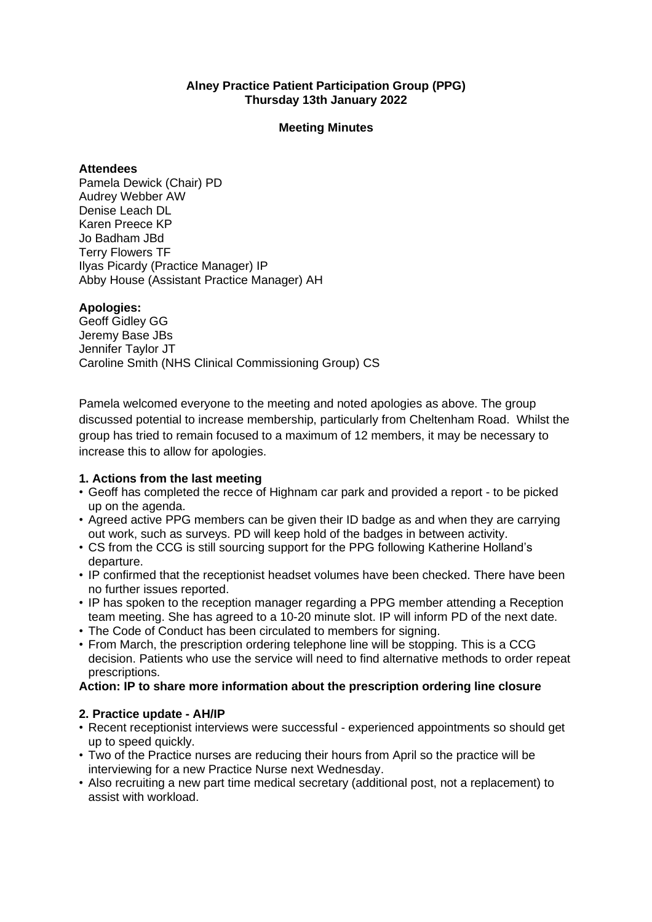## **Alney Practice Patient Participation Group (PPG) Thursday 13th January 2022**

### **Meeting Minutes**

#### **Attendees**

Pamela Dewick (Chair) PD Audrey Webber AW Denise Leach DL Karen Preece KP Jo Badham JBd Terry Flowers TF Ilyas Picardy (Practice Manager) IP Abby House (Assistant Practice Manager) AH

### **Apologies:**

Geoff Gidley GG Jeremy Base JBs Jennifer Taylor JT Caroline Smith (NHS Clinical Commissioning Group) CS

Pamela welcomed everyone to the meeting and noted apologies as above. The group discussed potential to increase membership, particularly from Cheltenham Road. Whilst the group has tried to remain focused to a maximum of 12 members, it may be necessary to increase this to allow for apologies.

## **1. Actions from the last meeting**

- Geoff has completed the recce of Highnam car park and provided a report to be picked up on the agenda.
- Agreed active PPG members can be given their ID badge as and when they are carrying out work, such as surveys. PD will keep hold of the badges in between activity.
- CS from the CCG is still sourcing support for the PPG following Katherine Holland's departure.
- IP confirmed that the receptionist headset volumes have been checked. There have been no further issues reported.
- IP has spoken to the reception manager regarding a PPG member attending a Reception team meeting. She has agreed to a 10-20 minute slot. IP will inform PD of the next date.
- The Code of Conduct has been circulated to members for signing.
- From March, the prescription ordering telephone line will be stopping. This is a CCG decision. Patients who use the service will need to find alternative methods to order repeat prescriptions.

## **Action: IP to share more information about the prescription ordering line closure**

## **2. Practice update - AH/IP**

- Recent receptionist interviews were successful experienced appointments so should get up to speed quickly.
- Two of the Practice nurses are reducing their hours from April so the practice will be interviewing for a new Practice Nurse next Wednesday.
- Also recruiting a new part time medical secretary (additional post, not a replacement) to assist with workload.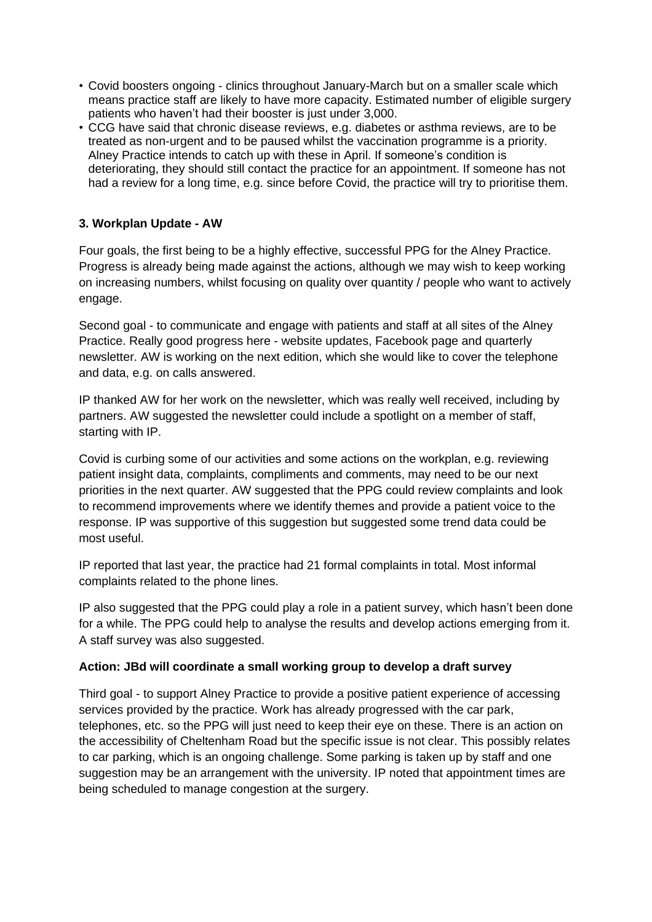- Covid boosters ongoing clinics throughout January-March but on a smaller scale which means practice staff are likely to have more capacity. Estimated number of eligible surgery patients who haven't had their booster is just under 3,000.
- CCG have said that chronic disease reviews, e.g. diabetes or asthma reviews, are to be treated as non-urgent and to be paused whilst the vaccination programme is a priority. Alney Practice intends to catch up with these in April. If someone's condition is deteriorating, they should still contact the practice for an appointment. If someone has not had a review for a long time, e.g. since before Covid, the practice will try to prioritise them.

# **3. Workplan Update - AW**

Four goals, the first being to be a highly effective, successful PPG for the Alney Practice. Progress is already being made against the actions, although we may wish to keep working on increasing numbers, whilst focusing on quality over quantity / people who want to actively engage.

Second goal - to communicate and engage with patients and staff at all sites of the Alney Practice. Really good progress here - website updates, Facebook page and quarterly newsletter. AW is working on the next edition, which she would like to cover the telephone and data, e.g. on calls answered.

IP thanked AW for her work on the newsletter, which was really well received, including by partners. AW suggested the newsletter could include a spotlight on a member of staff, starting with IP.

Covid is curbing some of our activities and some actions on the workplan, e.g. reviewing patient insight data, complaints, compliments and comments, may need to be our next priorities in the next quarter. AW suggested that the PPG could review complaints and look to recommend improvements where we identify themes and provide a patient voice to the response. IP was supportive of this suggestion but suggested some trend data could be most useful.

IP reported that last year, the practice had 21 formal complaints in total. Most informal complaints related to the phone lines.

IP also suggested that the PPG could play a role in a patient survey, which hasn't been done for a while. The PPG could help to analyse the results and develop actions emerging from it. A staff survey was also suggested.

# **Action: JBd will coordinate a small working group to develop a draft survey**

Third goal - to support Alney Practice to provide a positive patient experience of accessing services provided by the practice. Work has already progressed with the car park, telephones, etc. so the PPG will just need to keep their eye on these. There is an action on the accessibility of Cheltenham Road but the specific issue is not clear. This possibly relates to car parking, which is an ongoing challenge. Some parking is taken up by staff and one suggestion may be an arrangement with the university. IP noted that appointment times are being scheduled to manage congestion at the surgery.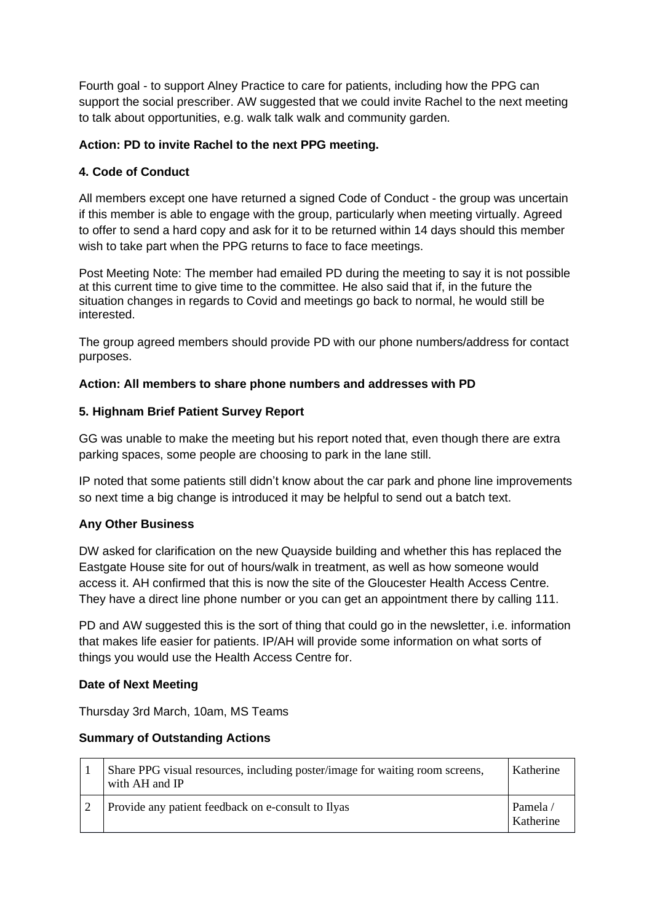Fourth goal - to support Alney Practice to care for patients, including how the PPG can support the social prescriber. AW suggested that we could invite Rachel to the next meeting to talk about opportunities, e.g. walk talk walk and community garden.

## **Action: PD to invite Rachel to the next PPG meeting.**

## **4. Code of Conduct**

All members except one have returned a signed Code of Conduct - the group was uncertain if this member is able to engage with the group, particularly when meeting virtually. Agreed to offer to send a hard copy and ask for it to be returned within 14 days should this member wish to take part when the PPG returns to face to face meetings.

Post Meeting Note: The member had emailed PD during the meeting to say it is not possible at this current time to give time to the committee. He also said that if, in the future the situation changes in regards to Covid and meetings go back to normal, he would still be interested.

The group agreed members should provide PD with our phone numbers/address for contact purposes.

## **Action: All members to share phone numbers and addresses with PD**

## **5. Highnam Brief Patient Survey Report**

GG was unable to make the meeting but his report noted that, even though there are extra parking spaces, some people are choosing to park in the lane still.

IP noted that some patients still didn't know about the car park and phone line improvements so next time a big change is introduced it may be helpful to send out a batch text.

## **Any Other Business**

DW asked for clarification on the new Quayside building and whether this has replaced the Eastgate House site for out of hours/walk in treatment, as well as how someone would access it. AH confirmed that this is now the site of the Gloucester Health Access Centre. They have a direct line phone number or you can get an appointment there by calling 111.

PD and AW suggested this is the sort of thing that could go in the newsletter, i.e. information that makes life easier for patients. IP/AH will provide some information on what sorts of things you would use the Health Access Centre for.

#### **Date of Next Meeting**

Thursday 3rd March, 10am, MS Teams

#### **Summary of Outstanding Actions**

| Share PPG visual resources, including poster/image for waiting room screens,<br>with AH and IP | Katherine            |
|------------------------------------------------------------------------------------------------|----------------------|
| Provide any patient feedback on e-consult to Ilyas                                             | Pamela/<br>Katherine |